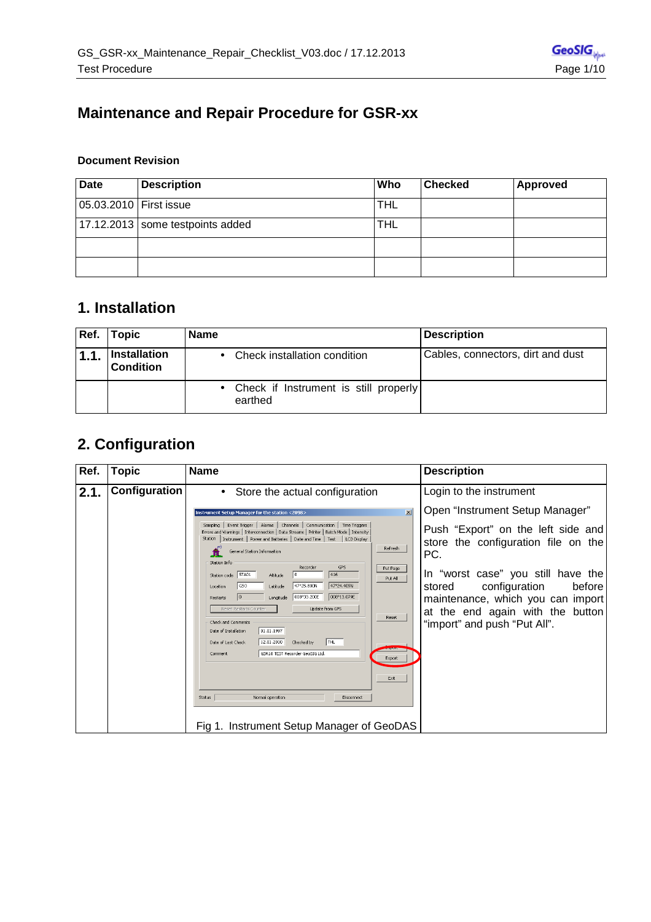### **Maintenance and Repair Procedure for GSR-xx**

#### **Document Revision**

| <b>Date</b>              | <b>Description</b>                 | Who        | <b>Checked</b> | <b>Approved</b> |
|--------------------------|------------------------------------|------------|----------------|-----------------|
| 05.03.2010   First issue |                                    | <b>THL</b> |                |                 |
|                          | 17.12.2013   some testpoints added | <b>THL</b> |                |                 |
|                          |                                    |            |                |                 |
|                          |                                    |            |                |                 |

#### **1. Installation**

| Ref. | <b>Topic</b>                     | <b>Name</b>                                        | <b>Description</b>                |
|------|----------------------------------|----------------------------------------------------|-----------------------------------|
| 1.1. | Installation<br><b>Condition</b> | Check installation condition                       | Cables, connectors, dirt and dust |
|      |                                  | • Check if Instrument is still properly<br>earthed |                                   |

## **2. Configuration**

| Ref. | <b>Topic</b>  | <b>Name</b>                                                                                                                                                                                                                                                                                                                                                                                                                                                                                                                                                                                                                                                                                                                                                                                                                                | <b>Description</b>                                                                                                                                                                                                                                                                                         |
|------|---------------|--------------------------------------------------------------------------------------------------------------------------------------------------------------------------------------------------------------------------------------------------------------------------------------------------------------------------------------------------------------------------------------------------------------------------------------------------------------------------------------------------------------------------------------------------------------------------------------------------------------------------------------------------------------------------------------------------------------------------------------------------------------------------------------------------------------------------------------------|------------------------------------------------------------------------------------------------------------------------------------------------------------------------------------------------------------------------------------------------------------------------------------------------------------|
| 2.1. | Configuration | • Store the actual configuration                                                                                                                                                                                                                                                                                                                                                                                                                                                                                                                                                                                                                                                                                                                                                                                                           | Login to the instrument                                                                                                                                                                                                                                                                                    |
|      |               | $\vert x \vert$<br>Instrument Setup Manager for the station <2098><br>Sampling   Event Trigger   Alarms   Channels   Communication   Time Triggers<br>Errors and Warnings   Interconnection   Data Streams   Printer   Batch Mode   Intensity<br>Station   Instrument   Power and Batteries   Date and Time   Test   LCD Display<br>Refresh<br>General Station Information<br>Station Info<br>Recorder<br>GPS<br>Put Page<br>416<br>Station code STA01<br>Altitude<br>Put All<br>47°24.409N<br>47°25.800N<br>GSO<br>Latitude<br>Location<br>008°13.079E<br>008°33.200E<br>Longitude<br>Restarts<br>Reset Restarts Counter<br>Update from GPS<br>Reset<br>Check and Comments<br>01.01.1997<br>Date of Installation<br>THL<br>12.01.2010<br>Checked by<br>Date of Last Check<br>GSR18 TEST Recorder GeoSIG Ltd.<br>Comment<br>Export<br>Exit | Open "Instrument Setup Manager"<br>Push "Export" on the left side and<br>store the configuration file on the<br>PC.<br>In "worst case" you still have the<br>configuration<br>before<br>stored<br>maintenance, which you can import<br>at the end again with the<br>button<br>"import" and push "Put All". |
|      |               | Status<br>Normal operation<br>Disconnect<br>Fig 1. Instrument Setup Manager of GeoDAS                                                                                                                                                                                                                                                                                                                                                                                                                                                                                                                                                                                                                                                                                                                                                      |                                                                                                                                                                                                                                                                                                            |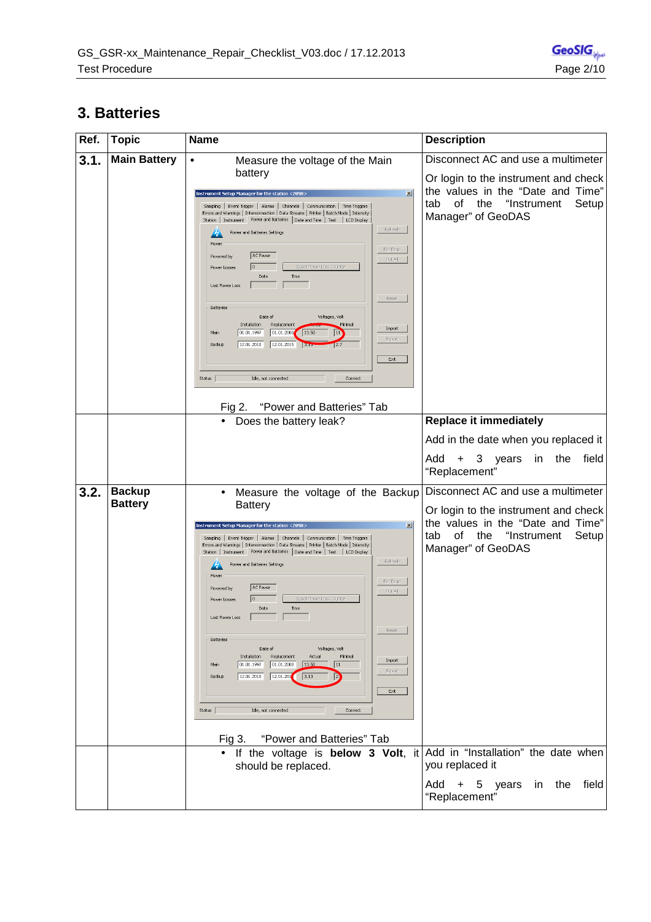### **3. Batteries**

| Ref. | <b>Topic</b>                    | <b>Name</b>                                                                                                                                                                                                                                                                                                                                                                                                                                                                                                                                                                                                                                                                                                                                                                                                                                                                                                                                 | <b>Description</b>                                                                                                                                                                |
|------|---------------------------------|---------------------------------------------------------------------------------------------------------------------------------------------------------------------------------------------------------------------------------------------------------------------------------------------------------------------------------------------------------------------------------------------------------------------------------------------------------------------------------------------------------------------------------------------------------------------------------------------------------------------------------------------------------------------------------------------------------------------------------------------------------------------------------------------------------------------------------------------------------------------------------------------------------------------------------------------|-----------------------------------------------------------------------------------------------------------------------------------------------------------------------------------|
| 3.1. | <b>Main Battery</b>             | Measure the voltage of the Main<br>$\bullet$<br>battery<br>$\vert x \vert$<br>Instrument Setup Manager for the station <2098;<br>Sampling   Event Trigger   Alarms   Channels   Communication   Time Triggers<br>Errors and Warnings   Interconnection   Data Streams   Printer   Batch Mode   Intensity<br>Station   Instrument   Power and Batteries   Date and Time   Test   LCD Display<br>Refresh<br>Power and Batteries Settings<br>Power<br>Put Page<br>AC Power<br>Powered by<br>Put All<br>Reset Power Loss Counter<br>0<br>Power Losses<br>Date<br>Time<br>Last Power Loss<br>Reset<br>Batteries<br>Date of<br>Voltages, Volt<br>Installation<br>Replacement<br>Minimal<br>Import<br>01.01.1997<br> 01.01.2000 <br>13.58<br>$ 11\rangle$<br>Main<br>Export<br>12.01.2010<br>12.01.2015<br>Backup<br>$13\pi$<br>12.7<br>Exit<br>Status<br>Idle, not connected<br>Connect<br>Fig 2. "Power and Batteries" Tab                       | Disconnect AC and use a multimeter<br>Or login to the instrument and check<br>the values in the "Date and Time"<br>of<br>"Instrument<br>the<br>Setup<br>tab<br>Manager" of GeoDAS |
|      |                                 | Does the battery leak?                                                                                                                                                                                                                                                                                                                                                                                                                                                                                                                                                                                                                                                                                                                                                                                                                                                                                                                      | <b>Replace it immediately</b>                                                                                                                                                     |
|      |                                 |                                                                                                                                                                                                                                                                                                                                                                                                                                                                                                                                                                                                                                                                                                                                                                                                                                                                                                                                             | Add in the date when you replaced it<br>Add<br>3<br>years<br>the<br>field<br>$+$<br>in<br>"Replacement"                                                                           |
| 3.2. | <b>Backup</b><br><b>Battery</b> | Measure the voltage of the Backup<br>$\bullet$<br><b>Battery</b><br>$\vert x \vert$<br>Instrument Setup Manager for the station <2098;<br>Sampling   Event Trigger   Alarms   Channels   Communication   Time Triggers<br>Errors and Warnings   Interconnection   Data Streams   Printer   Batch Mode   Intensity<br>Station   Instrument Power and Batteries   Date and Time   Test   LCD Display<br>Refresh<br>Power and Batteries Settings<br>Powe<br>Put Page<br>AC Power<br>Powered by<br>Put All<br>0<br>Reset Power Loss Counter<br>Power Losses<br>Date<br>Time<br>Last Power Loss<br>Reset<br>Batteries<br>Date of<br>Voltages, Volt<br>Installation<br>Replacement<br>Actual<br>Minimal<br>Import<br>01.01.1997<br>Main<br>01.01.2000<br>13.58<br>$ 11\rangle$<br>Export<br>12.01.201<br>12.01.2010<br>3.13<br>P.<br>Backup<br>$\mathsf{Exit}$<br>Status<br>Idle, not connected<br>Connect<br>"Power and Batteries" Tab<br>Fig 3. | Disconnect AC and use a multimeter<br>Or login to the instrument and check<br>the values in the "Date and Time"<br>"Instrument<br>tab<br>0f<br>the<br>Setup<br>Manager" of GeoDAS |
|      |                                 | If the voltage is below 3 Volt, it Add in "Installation" the date when<br>should be replaced.                                                                                                                                                                                                                                                                                                                                                                                                                                                                                                                                                                                                                                                                                                                                                                                                                                               | you replaced it<br>Add + 5 years<br>in the<br>field<br>"Replacement"                                                                                                              |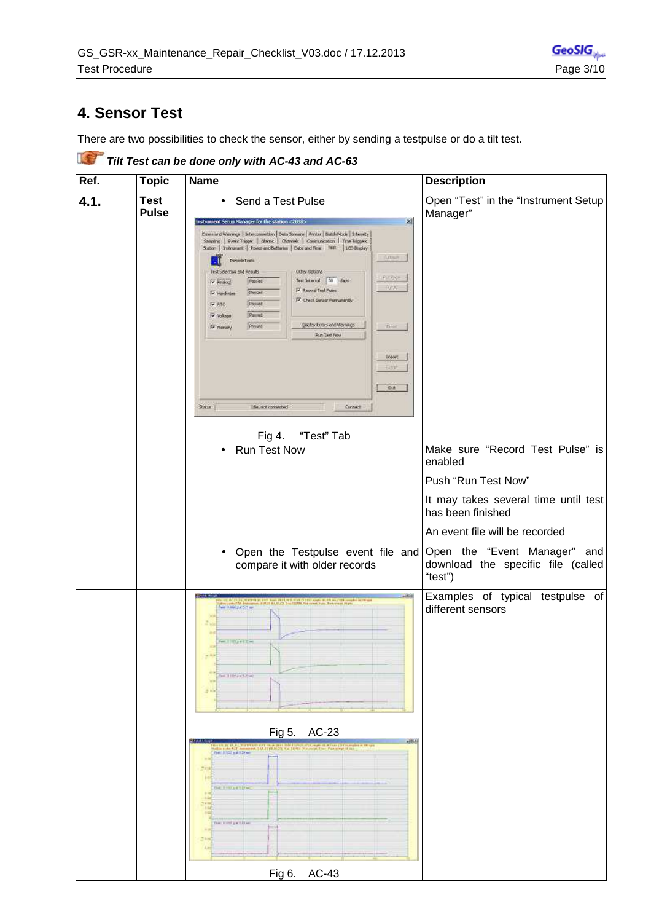#### **4. Sensor Test**

There are two possibilities to check the sensor, either by sending a testpulse or do a tilt test.

**Tilt Test can be done only with AC-43 and AC-63 Ref.** Topic Name Description **4.1. Test**  • Send a Test Pulse Open "Test" in the "Instrument Setup **Pulse**  Manager" rstrument Setup Manager for the station <2 図  $\begin{minipage}[c]{0.9\linewidth} \textbf{Error} & \textbf{Freconclusion} & \textbf{Toesm} & \textbf{Toesm} & \textbf{Toesim} & \textbf{Toesim} & \textbf{Toesim} \\ \textbf{Soosim} & \textbf{Greinov} & \textbf{Toesim} & \textbf{Toesim} & \textbf{Toesim} & \textbf{Toesim} & \textbf{Toesim} \\ \textbf{Soosim} & \textbf{Toesim} & \textbf{Toesim} & \textbf{Toesim} & \textbf{Toesim} & \textbf{Toesim} & \textbf{Toesim} \\ \textbf{Toesim} & \textbf{Toesim$  $rac{1}{2}$ **DEC** Persidereds Test Selection and Results citier cations Printed Posted Text Internal (20) stays (V Secord Test Pulse P Hadvare Passed 17 Check Senior Personant &  $\overline{\nabla}$  язо. Passed  $p_{\text{anrad}}$  $\overline{\mathsf{P}}$  where goods Entry and Hamilton **P Nemory** Passet **Run Text Now** Doport  $Dt$ 154, not connected  $2x + 1$ Connect Fig 4. "Test" Tab • Run Test Now Make sure "Record Test Pulse" is enabled Push "Run Test Now" It may takes several time until test has been finished An event file will be recorded • Open the Testpulse event file and Open the "Event Manager" and download the specific file (called compare it with older records "test") Examples of typical testpulse of and to the samples of different sensors  $-$  movement **CHESTA** Fig 5. AC-23 alia sala 1921<br>Gaz a Terra da 1924 **CETHING ENGINE** 

Fig 6. AC-43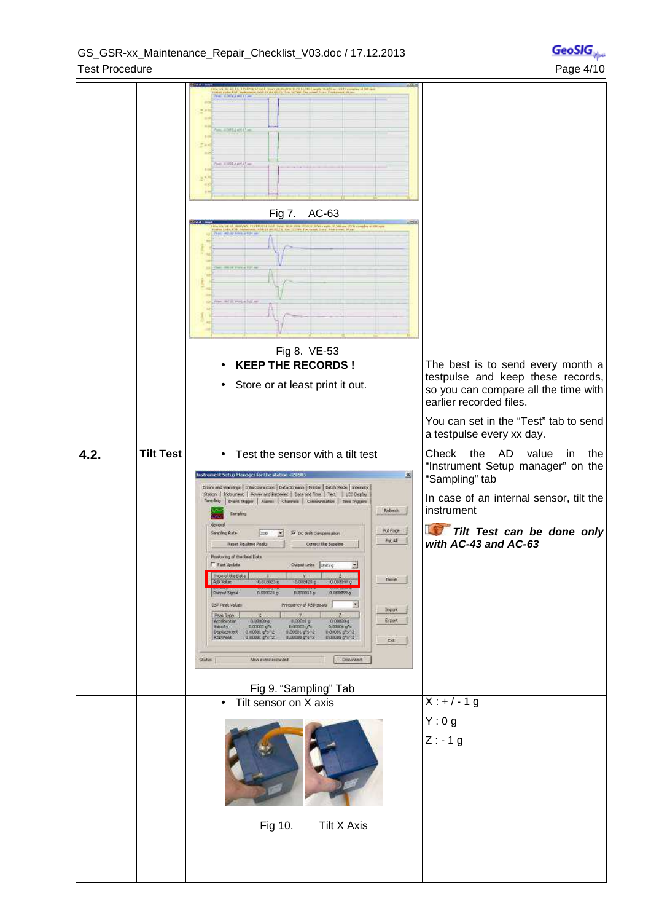|      |                  | and the Contract of the Contract of the Contract of the Contract of the Contract of the Contract of the Contract of the Contract of the Contract of the Contract of the Contract of the Contract of the Contract of the Contra<br><b>No. 636Yound Com</b><br>WOLF DISTURBANCE<br>THE EXPOSURE OF<br>Fig 7. AC-63<br>the Bank page of the speeding on the age<br>of Bank page of the speeding on the age<br>No. 30 W Anna Eliza<br><b>HER FOREST FILM</b><br>w arresterite                                                                                                                                                                                                                                                                                                                                                                                                                                                                                                                                                                                                                                                                                                                                                                                                                    |                                                                                                                                                                                                                 |
|------|------------------|----------------------------------------------------------------------------------------------------------------------------------------------------------------------------------------------------------------------------------------------------------------------------------------------------------------------------------------------------------------------------------------------------------------------------------------------------------------------------------------------------------------------------------------------------------------------------------------------------------------------------------------------------------------------------------------------------------------------------------------------------------------------------------------------------------------------------------------------------------------------------------------------------------------------------------------------------------------------------------------------------------------------------------------------------------------------------------------------------------------------------------------------------------------------------------------------------------------------------------------------------------------------------------------------|-----------------------------------------------------------------------------------------------------------------------------------------------------------------------------------------------------------------|
|      |                  | Fig 8. VE-53<br><b>KEEP THE RECORDS!</b><br>Store or at least print it out.                                                                                                                                                                                                                                                                                                                                                                                                                                                                                                                                                                                                                                                                                                                                                                                                                                                                                                                                                                                                                                                                                                                                                                                                                  | The best is to send every month a<br>testpulse and keep these records,<br>so you can compare all the time with<br>earlier recorded files.<br>You can set in the "Test" tab to send<br>a testpulse every xx day. |
| 4.2. | <b>Tilt Test</b> | Test the sensor with a tilt test<br>$\bullet$<br>圖<br>strument Setup Manager for the station <2050><br>Errors and Warnings   Interconnection   Data Streams   Printer   Batch Mode   Internaty<br>Station   Instrument   Howev and Batteries   Date and Time   Test   LCD Display<br>Sensing   Event Trager   Alarms   Charmie   Connunication   Time Triggers<br>Rebeck.<br>Sargky<br>Goress<br><b>Pucifican</b><br>Sanpling Rate<br>200<br>IV DC Drift Conpersidon<br>秋天桥<br><b>Reset Realme Pools</b><br>Correct the Baseline<br>Menitoring of the Real Dobs<br>T Fest Update<br>Output units   Units (L<br>geoglithe Data<br>м<br>Flengt.<br>A/D Kakat<br>$-0.818023$ $\uppsi$<br>0.000420.p<br>0.009997.g<br>0.000021 p<br>0.000033<br>0.000039.0<br>Dulput Signal<br>츼<br>DSP Peak Volume<br>Prequency of RSD power<br><b>Inport</b><br>Real Type<br>Acceleration<br>0.00020.0<br>Export<br>0.000c8 p<br>0.000294<br><b>Ralcipty</b><br>D.OEK62 g*c<br>0.00002 p <sup>m</sup> x<br>0:00004 o <sup>n</sup> x<br>Displacement.<br>$0.00001$ g <sup>4</sup> s <sup>-2</sup><br>0.00001 g <sup>4</sup> s <sup>-2</sup><br>01000110912<br>0.00005 0 <sup>6</sup> 5/2<br>0.00006 0 <sup>6</sup> 6/2<br>RSD Peak<br>Edi<br>New www.trecorded<br>Deparated:<br>$2M =$<br>Fig 9. "Sampling" Tab | Check<br>AD<br>the<br>value<br>in<br>the<br>"Instrument Setup manager" on the<br>"Sampling" tab<br>In case of an internal sensor, tilt the<br>instrument<br>Tilt Test can be done only<br>with AC-43 and AC-63  |
|      |                  | Tilt sensor on X axis<br>$\bullet$<br>Fig 10.<br>Tilt X Axis                                                                                                                                                                                                                                                                                                                                                                                                                                                                                                                                                                                                                                                                                                                                                                                                                                                                                                                                                                                                                                                                                                                                                                                                                                 | $X: +/-1 g$<br>Y:0g<br>$Z: -1g$                                                                                                                                                                                 |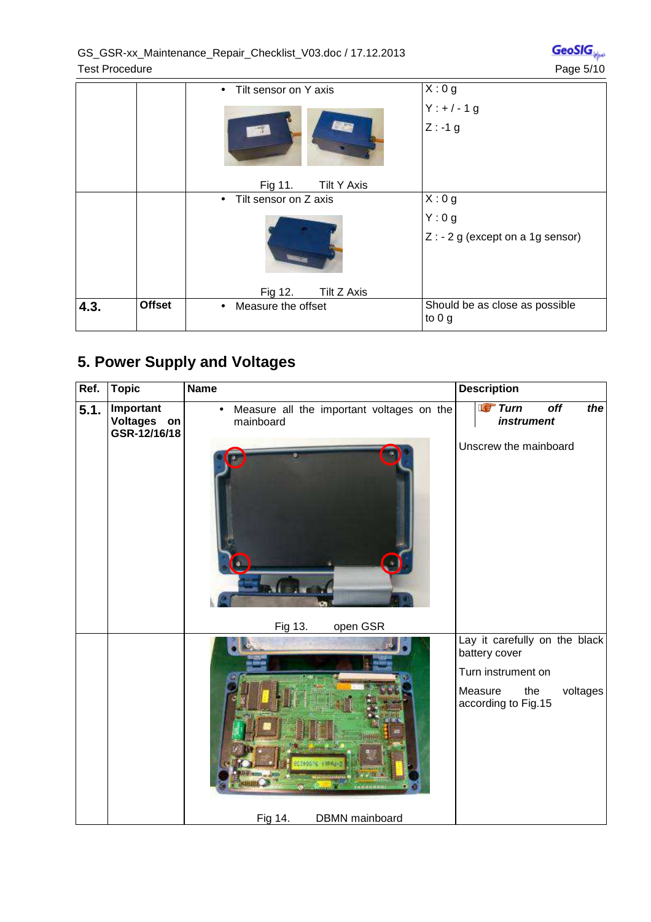| GeoSIG <sub>M</sub> |  |  |
|---------------------|--|--|
| Page 5/10           |  |  |
|                     |  |  |

|      |               | Tilt sensor on Y axis<br>$\bullet$ | X:0g                                      |
|------|---------------|------------------------------------|-------------------------------------------|
|      |               |                                    | $Y:+/-1 g$                                |
|      |               | <b>EURS</b>                        | $Z: -1 g$                                 |
|      |               | <b>Tilt Y Axis</b><br>Fig 11.      |                                           |
|      |               | Tilt sensor on Z axis<br>$\bullet$ | X:0g                                      |
|      |               |                                    | Y:0g                                      |
|      |               |                                    | $Z: -2 g$ (except on a 1g sensor)         |
|      |               | Fig 12.<br>Tilt Z Axis             |                                           |
| 4.3. | <b>Offset</b> | Measure the offset<br>$\bullet$    | Should be as close as possible<br>to $0g$ |

# **5. Power Supply and Voltages**

| Ref. | <b>Topic</b>                             | <b>Name</b>                                                         | <b>Description</b>                                          |
|------|------------------------------------------|---------------------------------------------------------------------|-------------------------------------------------------------|
| 5.1. | Important<br>Voltages on<br>GSR-12/16/18 | Measure all the important voltages on the<br>$\bullet$<br>mainboard | <b>Turn</b><br>$\overline{off}$<br>the<br><i>instrument</i> |
|      |                                          |                                                                     | Unscrew the mainboard                                       |
|      |                                          | open GSR<br>Fig 13.                                                 |                                                             |
|      |                                          |                                                                     | Lay it carefully on the black<br>battery cover              |
|      |                                          |                                                                     | Turn instrument on                                          |
|      |                                          |                                                                     | Measure<br>voltages<br>the<br>according to Fig.15           |
|      |                                          | DBMN mainboard<br>Fig 14.                                           |                                                             |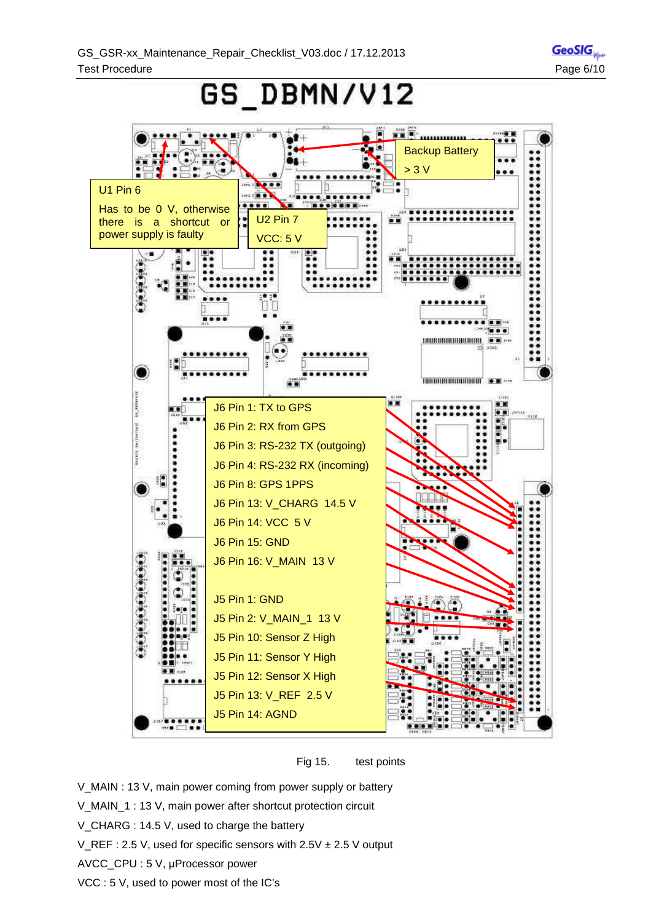**GeoSIG** 

# GS\_DBMN/V12





- V\_MAIN : 13 V, main power coming from power supply or battery
- V\_MAIN\_1 : 13 V, main power after shortcut protection circuit
- V\_CHARG : 14.5 V, used to charge the battery
- V\_REF : 2.5 V, used for specific sensors with  $2.5V \pm 2.5V$  output
- AVCC\_CPU : 5 V, μProcessor power
- VCC : 5 V, used to power most of the IC's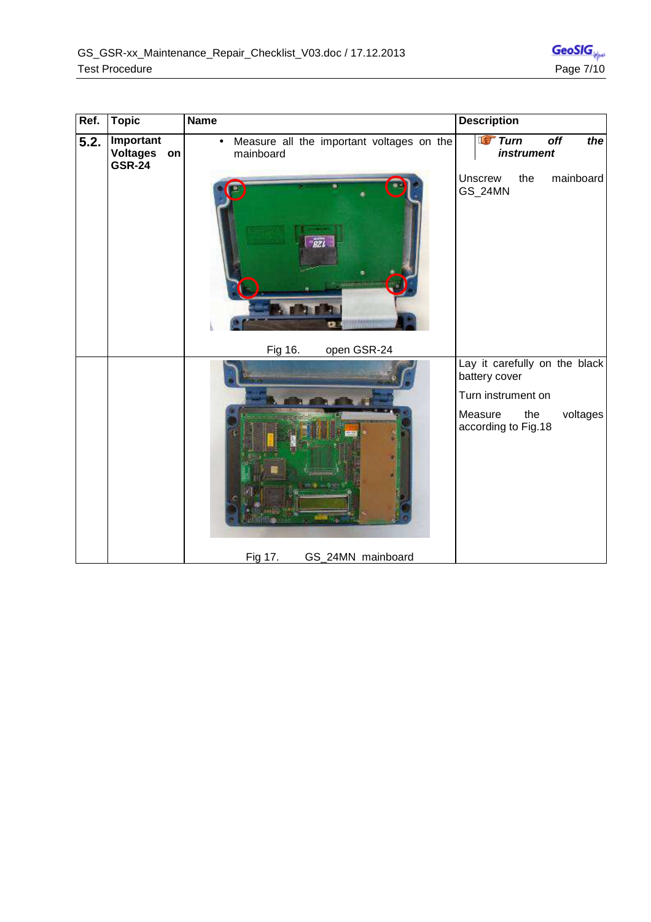| Ref. | <b>Topic</b>                         | <b>Name</b>                                                         | <b>Description</b>                                 |
|------|--------------------------------------|---------------------------------------------------------------------|----------------------------------------------------|
| 5.2. | Important<br>Voltages on<br>$GSR-24$ | Measure all the important voltages on the<br>$\bullet$<br>mainboard | <b>Ter</b> Turn<br>off<br>the<br><i>instrument</i> |
|      |                                      | <b>Tel</b><br>ename Hilland <mark>(</mark> v).                      | the<br>mainboard<br><b>Unscrew</b><br>GS_24MN      |
|      |                                      | Fig 16.<br>open GSR-24                                              | Lay it carefully on the black<br>battery cover     |
|      |                                      |                                                                     | Turn instrument on                                 |
|      |                                      |                                                                     | Measure<br>voltages<br>the<br>according to Fig.18  |
|      |                                      | GS_24MN mainboard<br>Fig 17.                                        |                                                    |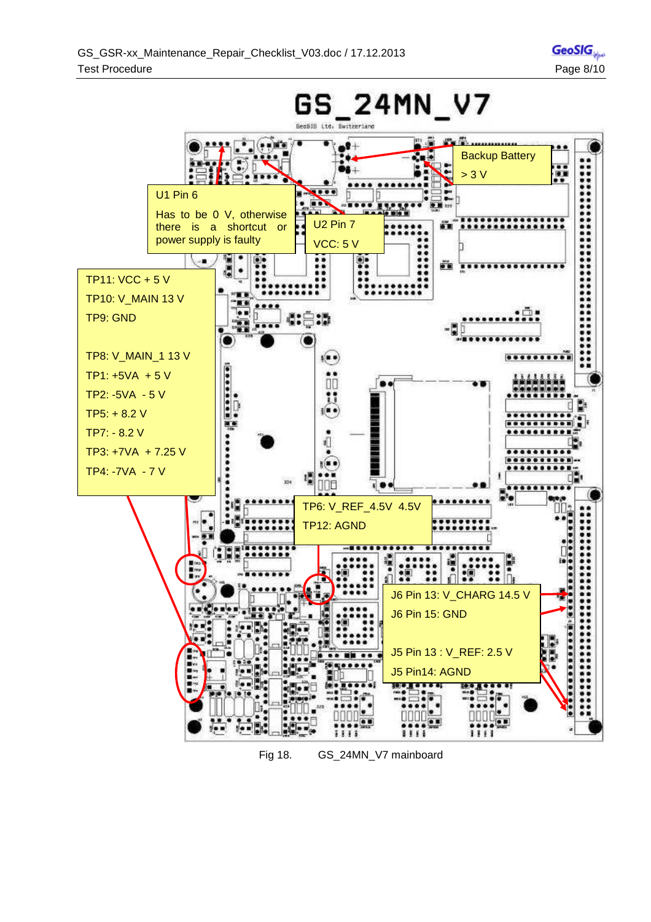**GeoSIG** 



Fig 18. GS\_24MN\_V7 mainboard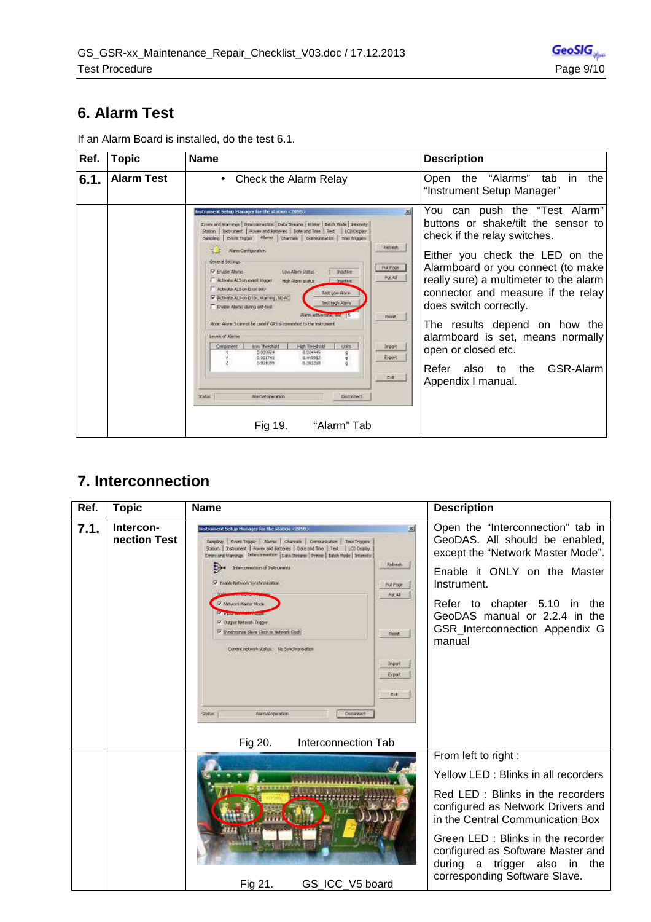#### **6. Alarm Test**

| Ref. | <b>Topic</b>      | <b>Name</b>                                                                                                                                                                                                                                                                                                                                                                                                                                                                                                                                                                                                                                                                                                                                                                                                                                                                                                                                                                                                                                                                                    | <b>Description</b>                                                                                                                                                                                                                                                                                                                                                                                                                           |
|------|-------------------|------------------------------------------------------------------------------------------------------------------------------------------------------------------------------------------------------------------------------------------------------------------------------------------------------------------------------------------------------------------------------------------------------------------------------------------------------------------------------------------------------------------------------------------------------------------------------------------------------------------------------------------------------------------------------------------------------------------------------------------------------------------------------------------------------------------------------------------------------------------------------------------------------------------------------------------------------------------------------------------------------------------------------------------------------------------------------------------------|----------------------------------------------------------------------------------------------------------------------------------------------------------------------------------------------------------------------------------------------------------------------------------------------------------------------------------------------------------------------------------------------------------------------------------------------|
| 6.1. | <b>Alarm Test</b> | Check the Alarm Relay<br>$\bullet$                                                                                                                                                                                                                                                                                                                                                                                                                                                                                                                                                                                                                                                                                                                                                                                                                                                                                                                                                                                                                                                             | Open the "Alarms" tab in<br>the<br>"Instrument Setup Manager"                                                                                                                                                                                                                                                                                                                                                                                |
|      |                   | 図<br>Instrument Setup Hanager for the station <2058><br>Errors and Warnings   Interconnection.   Data Streams   Printer   Batch Mode   Internety  <br>Station   theburent   Hover and Batteries   Date and Time   Test   LCD Depley<br>Sampling   Zvent Trapper Alarma   Charmain   Communication   Time Triggers<br><b>Rebech</b><br>T F Airm Configuration<br>General Settings<br>Puchage<br>IV English Alertas<br>Low Alery Storys<br><b>JYNOTHE</b><br>秋天林<br>F Activate AL3 on event tolgger<br>High Alany skatuer<br><b>Insetive</b><br>Actività ALS on Error only<br>Test Low Marin.<br>P Adiede AL2 on Enter Marring, No.AC.<br>Test High Alana<br>F English Alarge during self-basi:<br>Awn advertise, sec. 15<br>French<br>Note: Alarm 3 cannot be used if GPS is commodate to the instrument<br><b>Levels of Alertis</b><br>High Threshold<br>Low Threshold<br>one.<br>Companent<br><b>Breat</b><br>8:324945<br>0.000824<br>Export<br>0.001740<br>0.449902<br>g :<br>0.261280<br>0.901099<br>ö.<br>巴達<br><b>Status:</b><br>Narcial operation<br>Deponent-<br>"Alarm" Tab<br>Fig 19. | You can push the "Test Alarm"<br>buttons or shake/tilt the sensor to<br>check if the relay switches.<br>Either you check the LED on the<br>Alarmboard or you connect (to make<br>really sure) a multimeter to the alarm<br>connector and measure if the relay<br>does switch correctly.<br>The results depend on how the<br>alarmboard is set, means normally<br>open or closed etc.<br>GSR-Alarm<br>Refer also to the<br>Appendix I manual. |

If an Alarm Board is installed, do the test 6.1.

#### **7. Interconnection**

| Ref. | <b>Topic</b>              | <b>Name</b>                                                                                                                                                                                                                                                                                                                                                                                                                                                                                                                                                                                                                                                       | <b>Description</b>                                                                                                                                                                                                                                                                  |
|------|---------------------------|-------------------------------------------------------------------------------------------------------------------------------------------------------------------------------------------------------------------------------------------------------------------------------------------------------------------------------------------------------------------------------------------------------------------------------------------------------------------------------------------------------------------------------------------------------------------------------------------------------------------------------------------------------------------|-------------------------------------------------------------------------------------------------------------------------------------------------------------------------------------------------------------------------------------------------------------------------------------|
| 7.1. | Intercon-<br>nection Test | 因<br>istrument Setup Hanager for the station <2050;<br>Sempling Dveril Trigger   Alarms   Charmale   Conventiontion   Time Triggers<br>Station   Instrument   Power and Batteries   Date and Time   Test   LCD Display<br>Ernre and Warnings Trilerconnection Data Streams Prince   Babch Rode   Internaty<br>Rebeck.<br>Interconnection of Instrumental<br>V Endde hebroik Syndronsation<br><b>PUC Page</b><br>秋天<br>Mehvori Mason Node<br>IV Curpet Network Togger<br>P Syndhroning Steve Clock to Network Clock<br>Fieret:<br>Current network status. No Synchronisation<br><b>Dream</b><br>Export<br>Ext<br><b>Solar</b><br>Narrivil operation<br>Department? | Open the "Interconnection" tab in<br>GeoDAS. All should be enabled,<br>except the "Network Master Mode".<br>Enable it ONLY on the Master<br>Instrument.<br>Refer to chapter 5.10 in the<br>GeoDAS manual or 2.2.4 in the<br>GSR_Interconnection Appendix G<br>manual                |
|      |                           | Interconnection Tab<br>Fig 20.                                                                                                                                                                                                                                                                                                                                                                                                                                                                                                                                                                                                                                    |                                                                                                                                                                                                                                                                                     |
|      |                           |                                                                                                                                                                                                                                                                                                                                                                                                                                                                                                                                                                                                                                                                   | From left to right :<br>Yellow LED: Blinks in all recorders<br>Red LED : Blinks in the recorders<br>configured as Network Drivers and<br>in the Central Communication Box<br>Green LED: Blinks in the recorder<br>configured as Software Master and<br>during a trigger also in the |
|      |                           | Fig 21.<br>GS ICC V5 board                                                                                                                                                                                                                                                                                                                                                                                                                                                                                                                                                                                                                                        | corresponding Software Slave.                                                                                                                                                                                                                                                       |